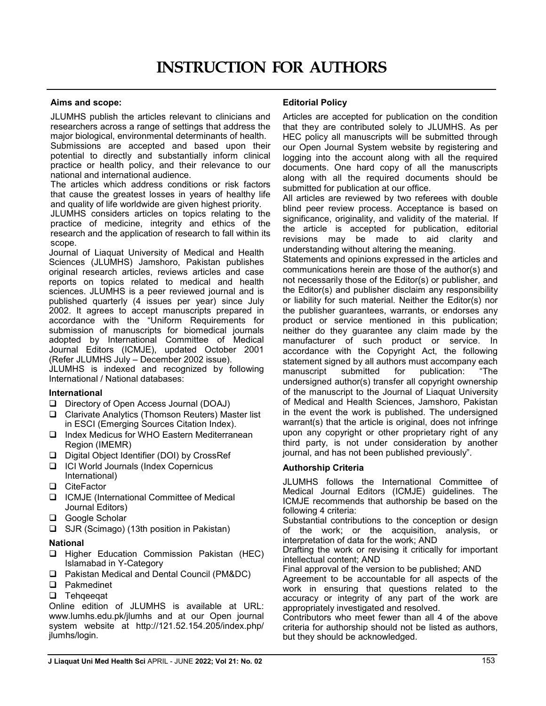## Aims and scope:

JLUMHS publish the articles relevant to clinicians and researchers across a range of settings that address the major biological, environmental determinants of health.

Submissions are accepted and based upon their potential to directly and substantially inform clinical practice or health policy, and their relevance to our national and international audience.

The articles which address conditions or risk factors that cause the greatest losses in years of healthy life and quality of life worldwide are given highest priority.

JLUMHS considers articles on topics relating to the practice of medicine, integrity and ethics of the research and the application of research to fall within its scope.

Journal of Liaquat University of Medical and Health Sciences (JLUMHS) Jamshoro, Pakistan publishes original research articles, reviews articles and case reports on topics related to medical and health sciences. JLUMHS is a peer reviewed journal and is published quarterly (4 issues per year) since July 2002. It agrees to accept manuscripts prepared in accordance with the "Uniform Requirements for submission of manuscripts for biomedical journals adopted by International Committee of Medical Journal Editors (ICMJE), updated October 2001 (Refer JLUMHS July – December 2002 issue).

JLUMHS is indexed and recognized by following International / National databases:

## International

- □ Directory of Open Access Journal (DOAJ)
- $\Box$  Clarivate Analytics (Thomson Reuters) Master list in ESCI (Emerging Sources Citation Index).
- □ Index Medicus for WHO Eastern Mediterranean Region (IMEMR)
- □ Digital Object Identifier (DOI) by CrossRef
- □ ICI World Journals (Index Copernicus International)
- □ CiteFactor
- **□** ICMJE (International Committee of Medical Journal Editors)
- □ Google Scholar
- $\Box$  SJR (Scimago) (13th position in Pakistan)

# National

- **Q** Higher Education Commission Pakistan (HEC) Islamabad in Y-Category
- □ Pakistan Medical and Dental Council (PM&DC)
- **Q** Pakmedinet
- **Q** Tehqeeqat

Online edition of JLUMHS is available at URL: www.lumhs.edu.pk/jlumhs and at our Open journal system website at http://121.52.154.205/index.php/ jlumhs/login.

# Editorial Policy

Articles are accepted for publication on the condition that they are contributed solely to JLUMHS. As per HEC policy all manuscripts will be submitted through our Open Journal System website by registering and logging into the account along with all the required documents. One hard copy of all the manuscripts along with all the required documents should be submitted for publication at our office.

All articles are reviewed by two referees with double blind peer review process. Acceptance is based on significance, originality, and validity of the material. If the article is accepted for publication, editorial revisions may be made to aid clarity and understanding without altering the meaning.

Statements and opinions expressed in the articles and communications herein are those of the author(s) and not necessarily those of the Editor(s) or publisher, and the Editor(s) and publisher disclaim any responsibility or liability for such material. Neither the Editor(s) nor the publisher guarantees, warrants, or endorses any product or service mentioned in this publication; neither do they guarantee any claim made by the manufacturer of such product or service. In accordance with the Copyright Act, the following statement signed by all authors must accompany each<br>manuscript submitted for publication: "The manuscript submitted for publication: undersigned author(s) transfer all copyright ownership of the manuscript to the Journal of Liaquat University of Medical and Health Sciences, Jamshoro, Pakistan in the event the work is published. The undersigned warrant(s) that the article is original, does not infringe upon any copyright or other proprietary right of any third party, is not under consideration by another journal, and has not been published previously".

# Authorship Criteria

JLUMHS follows the International Committee of Medical Journal Editors (ICMJE) guidelines. The ICMJE recommends that authorship be based on the following 4 criteria:

Substantial contributions to the conception or design of the work; or the acquisition, analysis, or interpretation of data for the work; AND

Drafting the work or revising it critically for important intellectual content; AND

Final approval of the version to be published; AND

Agreement to be accountable for all aspects of the work in ensuring that questions related to the accuracy or integrity of any part of the work are appropriately investigated and resolved.

Contributors who meet fewer than all 4 of the above criteria for authorship should not be listed as authors, but they should be acknowledged.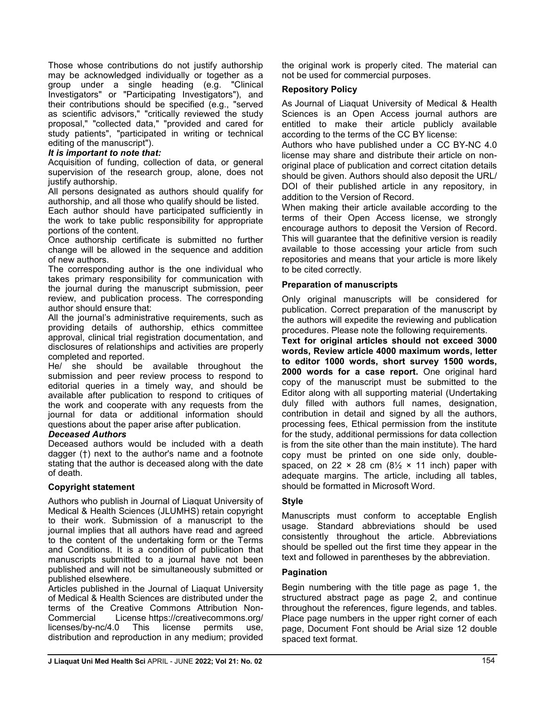Those whose contributions do not justify authorship may be acknowledged individually or together as a group under a single heading (e.g. "Clinical Investigators" or "Participating Investigators"), and their contributions should be specified (e.g., "served as scientific advisors," "critically reviewed the study proposal," "collected data," "provided and cared for study patients", "participated in writing or technical editing of the manuscript").

# It is important to note that:

Acquisition of funding, collection of data, or general supervision of the research group, alone, does not justify authorship.

All persons designated as authors should qualify for authorship, and all those who qualify should be listed.

Each author should have participated sufficiently in the work to take public responsibility for appropriate portions of the content.

Once authorship certificate is submitted no further change will be allowed in the sequence and addition of new authors.

The corresponding author is the one individual who takes primary responsibility for communication with the journal during the manuscript submission, peer review, and publication process. The corresponding author should ensure that:

All the journal's administrative requirements, such as providing details of authorship, ethics committee approval, clinical trial registration documentation, and disclosures of relationships and activities are properly completed and reported.

He/ she should be available throughout the submission and peer review process to respond to editorial queries in a timely way, and should be available after publication to respond to critiques of the work and cooperate with any requests from the journal for data or additional information should questions about the paper arise after publication.

## Deceased Authors

Deceased authors would be included with a death dagger (†) next to the author's name and a footnote stating that the author is deceased along with the date of death.

# Copyright statement

Authors who publish in Journal of Liaquat University of Medical & Health Sciences (JLUMHS) retain copyright to their work. Submission of a manuscript to the journal implies that all authors have read and agreed to the content of the undertaking form or the Terms and Conditions. It is a condition of publication that manuscripts submitted to a journal have not been published and will not be simultaneously submitted or published elsewhere.

Articles published in the Journal of Liaquat University of Medical & Health Sciences are distributed under the terms of the Creative Commons Attribution Non-Commercial License https://creativecommons.org/ licenses/by-nc/4.0 This license permits use, distribution and reproduction in any medium; provided the original work is properly cited. The material can not be used for commercial purposes.

# Repository Policy

As Journal of Liaquat University of Medical & Health Sciences is an Open Access journal authors are entitled to make their article publicly available according to the terms of the CC BY license:

Authors who have published under a CC BY-NC 4.0 license may share and distribute their article on nonoriginal place of publication and correct citation details should be given. Authors should also deposit the URL/ DOI of their published article in any repository, in addition to the Version of Record.

When making their article available according to the terms of their Open Access license, we strongly encourage authors to deposit the Version of Record. This will guarantee that the definitive version is readily available to those accessing your article from such repositories and means that your article is more likely to be cited correctly.

# Preparation of manuscripts

Only original manuscripts will be considered for publication. Correct preparation of the manuscript by the authors will expedite the reviewing and publication procedures. Please note the following requirements.

Text for original articles should not exceed 3000 words, Review article 4000 maximum words, letter to editor 1000 words, short survey 1500 words, 2000 words for a case report. One original hard copy of the manuscript must be submitted to the Editor along with all supporting material (Undertaking duly filled with authors full names, designation, contribution in detail and signed by all the authors, processing fees, Ethical permission from the institute for the study, additional permissions for data collection is from the site other than the main institute). The hard copy must be printed on one side only, doublespaced, on 22  $\times$  28 cm (8½  $\times$  11 inch) paper with adequate margins. The article, including all tables, should be formatted in Microsoft Word.

## **Style**

Manuscripts must conform to acceptable English usage. Standard abbreviations should be used consistently throughout the article. Abbreviations should be spelled out the first time they appear in the text and followed in parentheses by the abbreviation.

## Pagination

Begin numbering with the title page as page 1, the structured abstract page as page 2, and continue throughout the references, figure legends, and tables. Place page numbers in the upper right corner of each page, Document Font should be Arial size 12 double spaced text format.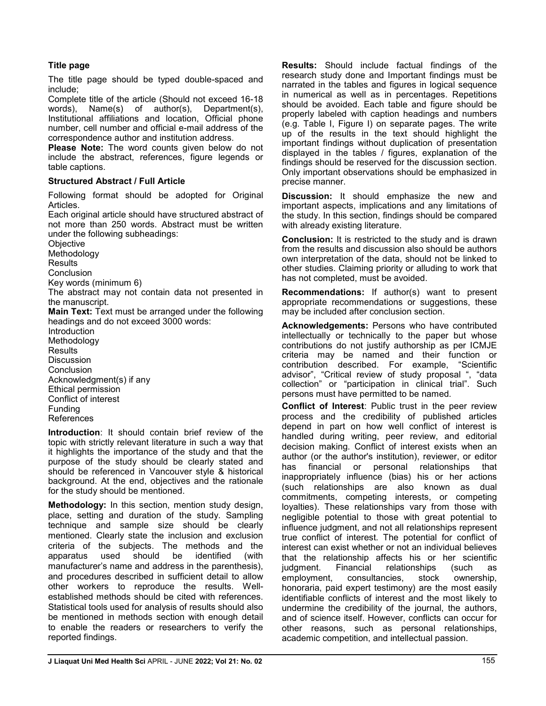# Title page

The title page should be typed double-spaced and include;

Complete title of the article (Should not exceed 16-18 words), Name(s) of author(s), Department(s), Institutional affiliations and location, Official phone number, cell number and official e-mail address of the correspondence author and institution address.

Please Note: The word counts given below do not include the abstract, references, figure legends or table captions.

# Structured Abstract / Full Article

Following format should be adopted for Original Articles.

Each original article should have structured abstract of not more than 250 words. Abstract must be written under the following subheadings:

**Objective** 

Methodology

**Results** 

**Conclusion** 

Key words (minimum 6)

The abstract may not contain data not presented in the manuscript.

Main Text: Text must be arranged under the following headings and do not exceed 3000 words:

**Introduction** Methodology **Results** Discussion **Conclusion** Acknowledgment(s) if any Ethical permission Conflict of interest Funding References

Introduction: It should contain brief review of the topic with strictly relevant literature in such a way that it highlights the importance of the study and that the purpose of the study should be clearly stated and should be referenced in Vancouver style & historical background. At the end, objectives and the rationale for the study should be mentioned.

Methodology: In this section, mention study design, place, setting and duration of the study. Sampling technique and sample size should be clearly mentioned. Clearly state the inclusion and exclusion criteria of the subjects. The methods and the apparatus used should be identified (with manufacturer's name and address in the parenthesis), and procedures described in sufficient detail to allow other workers to reproduce the results. Wellestablished methods should be cited with references. Statistical tools used for analysis of results should also be mentioned in methods section with enough detail to enable the readers or researchers to verify the reported findings.

Results: Should include factual findings of the research study done and Important findings must be narrated in the tables and figures in logical sequence in numerical as well as in percentages. Repetitions should be avoided. Each table and figure should be properly labeled with caption headings and numbers (e.g. Table I, Figure I) on separate pages. The write up of the results in the text should highlight the important findings without duplication of presentation displayed in the tables / figures, explanation of the findings should be reserved for the discussion section. Only important observations should be emphasized in precise manner.

Discussion: It should emphasize the new and important aspects, implications and any limitations of the study. In this section, findings should be compared with already existing literature.

Conclusion: It is restricted to the study and is drawn from the results and discussion also should be authors own interpretation of the data, should not be linked to other studies. Claiming priority or alluding to work that has not completed, must be avoided.

Recommendations: If author(s) want to present appropriate recommendations or suggestions, these may be included after conclusion section.

Acknowledgements: Persons who have contributed intellectually or technically to the paper but whose contributions do not justify authorship as per ICMJE criteria may be named and their function or contribution described. For example, "Scientific advisor", "Critical review of study proposal ", "data collection" or "participation in clinical trial". Such persons must have permitted to be named.

Conflict of Interest: Public trust in the peer review process and the credibility of published articles depend in part on how well conflict of interest is handled during writing, peer review, and editorial decision making. Conflict of interest exists when an author (or the author's institution), reviewer, or editor has financial or personal relationships that inappropriately influence (bias) his or her actions (such relationships are also known as dual commitments, competing interests, or competing loyalties). These relationships vary from those with negligible potential to those with great potential to influence judgment, and not all relationships represent true conflict of interest. The potential for conflict of interest can exist whether or not an individual believes that the relationship affects his or her scientific judgment. Financial relationships (such as employment, consultancies, stock ownership, honoraria, paid expert testimony) are the most easily identifiable conflicts of interest and the most likely to undermine the credibility of the journal, the authors, and of science itself. However, conflicts can occur for other reasons, such as personal relationships, academic competition, and intellectual passion.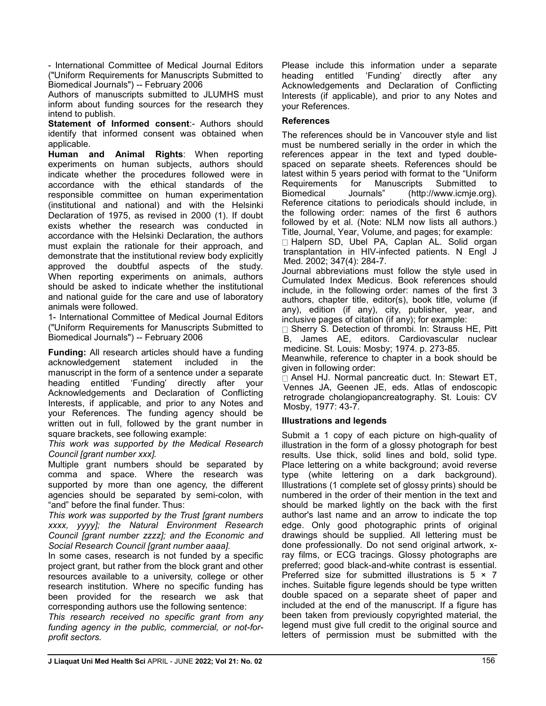- International Committee of Medical Journal Editors ("Uniform Requirements for Manuscripts Submitted to Biomedical Journals") -- February 2006

Authors of manuscripts submitted to JLUMHS must inform about funding sources for the research they intend to publish.

**Statement of Informed consent:- Authors should** identify that informed consent was obtained when applicable.

Human and Animal Rights: When reporting experiments on human subjects, authors should indicate whether the procedures followed were in accordance with the ethical standards of the responsible committee on human experimentation (institutional and national) and with the Helsinki Declaration of 1975, as revised in 2000 (1). If doubt exists whether the research was conducted in accordance with the Helsinki Declaration, the authors must explain the rationale for their approach, and demonstrate that the institutional review body explicitly approved the doubtful aspects of the study. When reporting experiments on animals, authors should be asked to indicate whether the institutional and national guide for the care and use of laboratory animals were followed.

1- International Committee of Medical Journal Editors ("Uniform Requirements for Manuscripts Submitted to Biomedical Journals") -- February 2006

Funding: All research articles should have a funding acknowledgement statement included in the manuscript in the form of a sentence under a separate heading entitled 'Funding' directly after your Acknowledgements and Declaration of Conflicting Interests, if applicable, and prior to any Notes and your References. The funding agency should be written out in full, followed by the grant number in square brackets, see following example:

This work was supported by the Medical Research Council [grant number xxx].

Multiple grant numbers should be separated by comma and space. Where the research was supported by more than one agency, the different agencies should be separated by semi-colon, with "and" before the final funder. Thus:

This work was supported by the Trust [grant numbers xxxx, yyyy]; the Natural Environment Research Council [grant number zzzz]; and the Economic and Social Research Council [grant number aaaa].

In some cases, research is not funded by a specific project grant, but rather from the block grant and other resources available to a university, college or other research institution. Where no specific funding has been provided for the research we ask that corresponding authors use the following sentence:

This research received no specific grant from any funding agency in the public, commercial, or not-forprofit sectors.

Please include this information under a separate heading entitled 'Funding' directly after any Acknowledgements and Declaration of Conflicting Interests (if applicable), and prior to any Notes and your References.

# **References**

The references should be in Vancouver style and list must be numbered serially in the order in which the references appear in the text and typed doublespaced on separate sheets. References should be latest within 5 years period with format to the "Uniform Requirements for Manuscripts Submitted to Biomedical Journals" (http://www.icmje.org). Reference citations to periodicals should include, in the following order: names of the first 6 authors followed by et al. (Note: NLM now lists all authors.) Title, Journal, Year, Volume, and pages; for example: □ Halpern SD, Ubel PA, Caplan AL. Solid organ

transplantation in HIV-infected patients. N Engl J Med. 2002; 347(4): 284-7.

Journal abbreviations must follow the style used in Cumulated Index Medicus. Book references should include, in the following order: names of the first 3 authors, chapter title, editor(s), book title, volume (if any), edition (if any), city, publisher, year, and inclusive pages of citation (if any); for example:

□ Sherry S. Detection of thrombi. In: Strauss HE, Pitt B, James AE, editors. Cardiovascular nuclear medicine. St. Louis: Mosby; 1974. p. 273-85.

Meanwhile, reference to chapter in a book should be given in following order:

Ansel HJ. Normal pancreatic duct. In: Stewart ET, Vennes JA, Geenen JE, eds. Atlas of endoscopic retrograde cholangiopancreatography. St. Louis: CV Mosby, 1977: 43-7.

# Illustrations and legends

Submit a 1 copy of each picture on high-quality of illustration in the form of a glossy photograph for best results. Use thick, solid lines and bold, solid type. Place lettering on a white background; avoid reverse type (white lettering on a dark background). Illustrations (1 complete set of glossy prints) should be numbered in the order of their mention in the text and should be marked lightly on the back with the first author's last name and an arrow to indicate the top edge. Only good photographic prints of original drawings should be supplied. All lettering must be done professionally. Do not send original artwork, xray films, or ECG tracings. Glossy photographs are preferred; good black-and-white contrast is essential. Preferred size for submitted illustrations is  $5 \times 7$ inches. Suitable figure legends should be type written double spaced on a separate sheet of paper and included at the end of the manuscript. If a figure has been taken from previously copyrighted material, the legend must give full credit to the original source and letters of permission must be submitted with the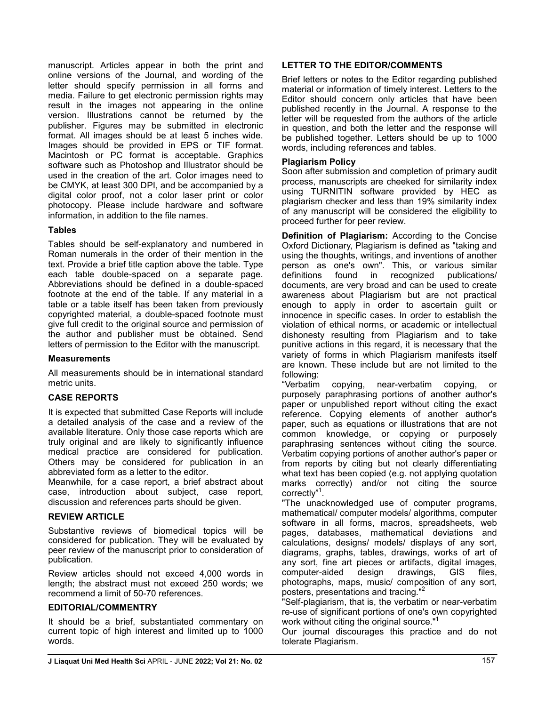manuscript. Articles appear in both the print and online versions of the Journal, and wording of the letter should specify permission in all forms and media. Failure to get electronic permission rights may result in the images not appearing in the online version. Illustrations cannot be returned by the publisher. Figures may be submitted in electronic format. All images should be at least 5 inches wide. Images should be provided in EPS or TIF format. Macintosh or PC format is acceptable. Graphics software such as Photoshop and Illustrator should be used in the creation of the art. Color images need to be CMYK, at least 300 DPI, and be accompanied by a digital color proof, not a color laser print or color photocopy. Please include hardware and software information, in addition to the file names.

# Tables

Tables should be self-explanatory and numbered in Roman numerals in the order of their mention in the text. Provide a brief title caption above the table. Type each table double-spaced on a separate page. Abbreviations should be defined in a double-spaced footnote at the end of the table. If any material in a table or a table itself has been taken from previously copyrighted material, a double-spaced footnote must give full credit to the original source and permission of the author and publisher must be obtained. Send letters of permission to the Editor with the manuscript.

## **Measurements**

All measurements should be in international standard metric units.

# CASE REPORTS

It is expected that submitted Case Reports will include a detailed analysis of the case and a review of the available literature. Only those case reports which are truly original and are likely to significantly influence medical practice are considered for publication. Others may be considered for publication in an abbreviated form as a letter to the editor.

Meanwhile, for a case report, a brief abstract about case, introduction about subject, case report, discussion and references parts should be given.

# REVIEW ARTICLE

Substantive reviews of biomedical topics will be considered for publication. They will be evaluated by peer review of the manuscript prior to consideration of publication.

Review articles should not exceed 4,000 words in length; the abstract must not exceed 250 words; we recommend a limit of 50-70 references.

# EDITORIAL/COMMENTRY

It should be a brief, substantiated commentary on current topic of high interest and limited up to 1000 words.

# LETTER TO THE EDITOR/COMMENTS

Brief letters or notes to the Editor regarding published material or information of timely interest. Letters to the Editor should concern only articles that have been published recently in the Journal. A response to the letter will be requested from the authors of the article in question, and both the letter and the response will be published together. Letters should be up to 1000 words, including references and tables.

# Plagiarism Policy

Soon after submission and completion of primary audit process, manuscripts are cheeked for similarity index using TURNITIN software provided by HEC as plagiarism checker and less than 19% similarity index of any manuscript will be considered the eligibility to proceed further for peer review.

Definition of Plagiarism: According to the Concise Oxford Dictionary, Plagiarism is defined as "taking and using the thoughts, writings, and inventions of another person as one's own". This, or various similar definitions found in recognized publications/ documents, are very broad and can be used to create awareness about Plagiarism but are not practical enough to apply in order to ascertain guilt or innocence in specific cases. In order to establish the violation of ethical norms, or academic or intellectual dishonesty resulting from Plagiarism and to take punitive actions in this regard, it is necessary that the variety of forms in which Plagiarism manifests itself are known. These include but are not limited to the following:

"Verbatim copying, near-verbatim copying, or purposely paraphrasing portions of another author's paper or unpublished report without citing the exact reference. Copying elements of another author's paper, such as equations or illustrations that are not common knowledge, or copying or purposely paraphrasing sentences without citing the source. Verbatim copying portions of another author's paper or from reports by citing but not clearly differentiating what text has been copied (e.g. not applying quotation marks correctly) and/or not citing the source correctly"<sup>1</sup>.

"The unacknowledged use of computer programs, mathematical/ computer models/ algorithms, computer software in all forms, macros, spreadsheets, web pages, databases, mathematical deviations and calculations, designs/ models/ displays of any sort, diagrams, graphs, tables, drawings, works of art of any sort, fine art pieces or artifacts, digital images, computer-aided design drawings, GIS files, photographs, maps, music/ composition of any sort, posters, presentations and tracing."<sup>2</sup>

"Self-plagiarism, that is, the verbatim or near-verbatim re-use of significant portions of one's own copyrighted work without citing the original source."<sup>1</sup>

Our journal discourages this practice and do not tolerate Plagiarism.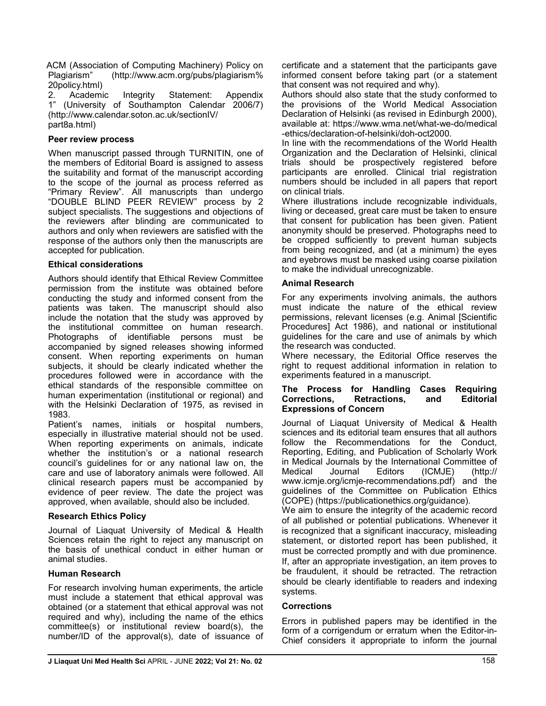ACM (Association of Computing Machinery) Policy on Plagiarism" (http://www.acm.org/pubs/plagiarism% 20policy.html)

2. Academic Integrity Statement: Appendix 1" (University of Southampton Calendar 2006/7) (http://www.calendar.soton.ac.uk/sectionIV/ part8a.html)

# Peer review process

When manuscript passed through TURNITIN, one of the members of Editorial Board is assigned to assess the suitability and format of the manuscript according to the scope of the journal as process referred as "Primary Review". All manuscripts than undergo "DOUBLE BLIND PEER REVIEW" process by 2 subject specialists. The suggestions and objections of the reviewers after blinding are communicated to authors and only when reviewers are satisfied with the response of the authors only then the manuscripts are accepted for publication.

## Ethical considerations

Authors should identify that Ethical Review Committee permission from the institute was obtained before conducting the study and informed consent from the patients was taken. The manuscript should also include the notation that the study was approved by the institutional committee on human research. Photographs of identifiable persons must be accompanied by signed releases showing informed consent. When reporting experiments on human subjects, it should be clearly indicated whether the procedures followed were in accordance with the ethical standards of the responsible committee on human experimentation (institutional or regional) and with the Helsinki Declaration of 1975, as revised in 1983.

Patient's names, initials or hospital numbers, especially in illustrative material should not be used. When reporting experiments on animals, indicate whether the institution's or a national research council's guidelines for or any national law on, the care and use of laboratory animals were followed. All clinical research papers must be accompanied by evidence of peer review. The date the project was approved, when available, should also be included.

## Research Ethics Policy

Journal of Liaquat University of Medical & Health Sciences retain the right to reject any manuscript on the basis of unethical conduct in either human or animal studies.

## Human Research

For research involving human experiments, the article must include a statement that ethical approval was obtained (or a statement that ethical approval was not required and why), including the name of the ethics committee(s) or institutional review board(s), the number/ID of the approval(s), date of issuance of certificate and a statement that the participants gave informed consent before taking part (or a statement that consent was not required and why).

Authors should also state that the study conformed to the provisions of the World Medical Association Declaration of Helsinki (as revised in Edinburgh 2000), available at: https://www.wma.net/what-we-do/medical -ethics/declaration-of-helsinki/doh-oct2000.

In line with the recommendations of the World Health Organization and the Declaration of Helsinki, clinical trials should be prospectively registered before participants are enrolled. Clinical trial registration numbers should be included in all papers that report on clinical trials.

Where illustrations include recognizable individuals, living or deceased, great care must be taken to ensure that consent for publication has been given. Patient anonymity should be preserved. Photographs need to be cropped sufficiently to prevent human subjects from being recognized, and (at a minimum) the eyes and eyebrows must be masked using coarse pixilation to make the individual unrecognizable.

## Animal Research

For any experiments involving animals, the authors must indicate the nature of the ethical review permissions, relevant licenses (e.g. Animal [Scientific Procedures] Act 1986), and national or institutional guidelines for the care and use of animals by which the research was conducted.

Where necessary, the Editorial Office reserves the right to request additional information in relation to experiments featured in a manuscript.

#### The Process for Handling Cases Requiring Corrections, Retractions, and Editorial Expressions of Concern

Journal of Liaquat University of Medical & Health sciences and its editorial team ensures that all authors follow the Recommendations for the Conduct, Reporting, Editing, and Publication of Scholarly Work in Medical Journals by the International Committee of Medical Journal Editors (ICMJE) (http:// www.icmje.org/icmje-recommendations.pdf) and the guidelines of the Committee on Publication Ethics (COPE) (https://publicationethics.org/guidance).

We aim to ensure the integrity of the academic record of all published or potential publications. Whenever it is recognized that a significant inaccuracy, misleading statement, or distorted report has been published, it must be corrected promptly and with due prominence. If, after an appropriate investigation, an item proves to be fraudulent, it should be retracted. The retraction should be clearly identifiable to readers and indexing systems.

#### **Corrections**

Errors in published papers may be identified in the form of a corrigendum or erratum when the Editor-in-Chief considers it appropriate to inform the journal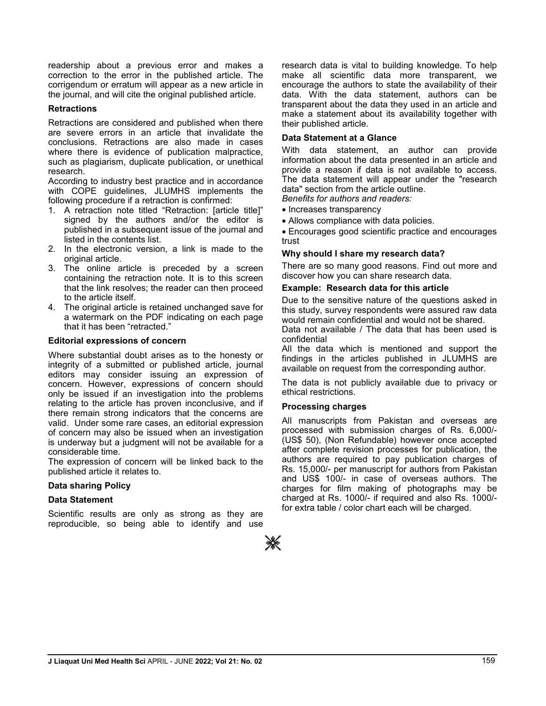readership about a previous error and makes a correction to the error in the published article. The corrigendum or erratum will appear as a new article in the journal, and will cite the original published article.

## **Retractions**

Retractions are considered and published when there are severe errors in an article that invalidate the conclusions. Retractions are also made in cases where there is evidence of publication malpractice, such as plagiarism, duplicate publication, or unethical research.

According to industry best practice and in accordance with COPE guidelines, JLUMHS implements the following procedure if a retraction is confirmed:

- 1. A retraction note titled "Retraction: [article title]" signed by the authors and/or the editor is published in a subsequent issue of the journal and listed in the contents list.
- 2. In the electronic version, a link is made to the original article.
- 3. The online article is preceded by a screen containing the retraction note. It is to this screen that the link resolves; the reader can then proceed to the article itself.
- 4. The original article is retained unchanged save for a watermark on the PDF indicating on each page that it has been "retracted."

## Editorial expressions of concern

Where substantial doubt arises as to the honesty or integrity of a submitted or published article, journal editors may consider issuing an expression of concern. However, expressions of concern should only be issued if an investigation into the problems relating to the article has proven inconclusive, and if there remain strong indicators that the concerns are valid. Under some rare cases, an editorial expression of concern may also be issued when an investigation is underway but a judgment will not be available for a considerable time.

The expression of concern will be linked back to the published article it relates to.

## Data sharing Policy

## Data Statement

Scientific results are only as strong as they are reproducible, so being able to identify and use research data is vital to building knowledge. To help make all scientific data more transparent, we encourage the authors to state the availability of their data. With the data statement, authors can be transparent about the data they used in an article and make a statement about its availability together with their published article.

#### Data Statement at a Glance

With data statement, an author can provide information about the data presented in an article and provide a reason if data is not available to access. The data statement will appear under the "research data" section from the article outline.

Benefits for authors and readers:

- · Increases transparency
- · Allows compliance with data policies.

· Encourages good scientific practice and encourages trust

#### Why should I share my research data?

There are so many good reasons. Find out more and discover how you can share research data.

#### Example: Research data for this article

Due to the sensitive nature of the questions asked in this study, survey respondents were assured raw data would remain confidential and would not be shared.

Data not available / The data that has been used is confidential

All the data which is mentioned and support the findings in the articles published in JLUMHS are available on request from the corresponding author.

The data is not publicly available due to privacy or ethical restrictions.

#### Processing charges

All manuscripts from Pakistan and overseas are processed with submission charges of Rs. 6,000/- (US\$ 50), (Non Refundable) however once accepted after complete revision processes for publication, the authors are required to pay publication charges of Rs. 15,000/- per manuscript for authors from Pakistan and US\$ 100/- in case of overseas authors. The charges for film making of photographs may be charged at Rs. 1000/- if required and also Rs. 1000/ for extra table / color chart each will be charged.